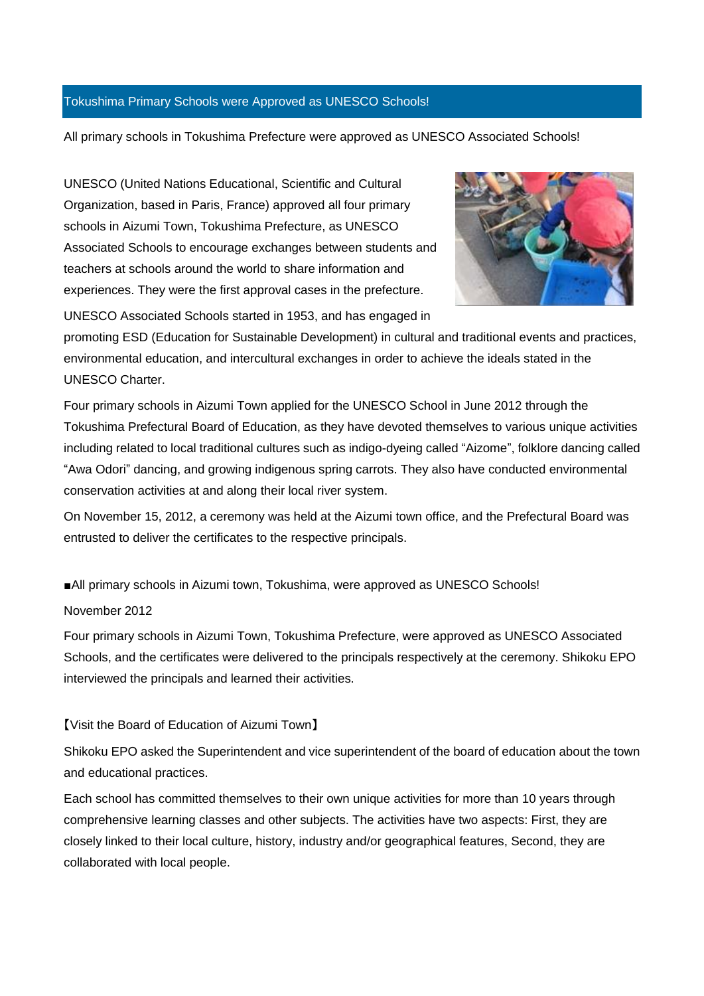#### Tokushima Primary Schools were Approved as UNESCO Schools!

All primary schools in Tokushima Prefecture were approved as UNESCO Associated Schools!

UNESCO (United Nations Educational, Scientific and Cultural Organization, based in Paris, France) approved all four primary schools in Aizumi Town, Tokushima Prefecture, as UNESCO Associated Schools to encourage exchanges between students and teachers at schools around the world to share information and experiences. They were the first approval cases in the prefecture.



UNESCO Associated Schools started in 1953, and has engaged in

promoting ESD (Education for Sustainable Development) in cultural and traditional events and practices, environmental education, and intercultural exchanges in order to achieve the ideals stated in the UNESCO Charter.

Four primary schools in Aizumi Town applied for the UNESCO School in June 2012 through the Tokushima Prefectural Board of Education, as they have devoted themselves to various unique activities including related to local traditional cultures such as indigo-dyeing called "Aizome", folklore dancing called "Awa Odori" dancing, and growing indigenous spring carrots. They also have conducted environmental conservation activities at and along their local river system.

On November 15, 2012, a ceremony was held at the Aizumi town office, and the Prefectural Board was entrusted to deliver the certificates to the respective principals.

■All primary schools in Aizumi town, Tokushima, were approved as UNESCO Schools!

#### November 2012

Four primary schools in Aizumi Town, Tokushima Prefecture, were approved as UNESCO Associated Schools, and the certificates were delivered to the principals respectively at the ceremony. Shikoku EPO interviewed the principals and learned their activities.

#### 【Visit the Board of Education of Aizumi Town】

Shikoku EPO asked the Superintendent and vice superintendent of the board of education about the town and educational practices.

Each school has committed themselves to their own unique activities for more than 10 years through comprehensive learning classes and other subjects. The activities have two aspects: First, they are closely linked to their local culture, history, industry and/or geographical features, Second, they are collaborated with local people.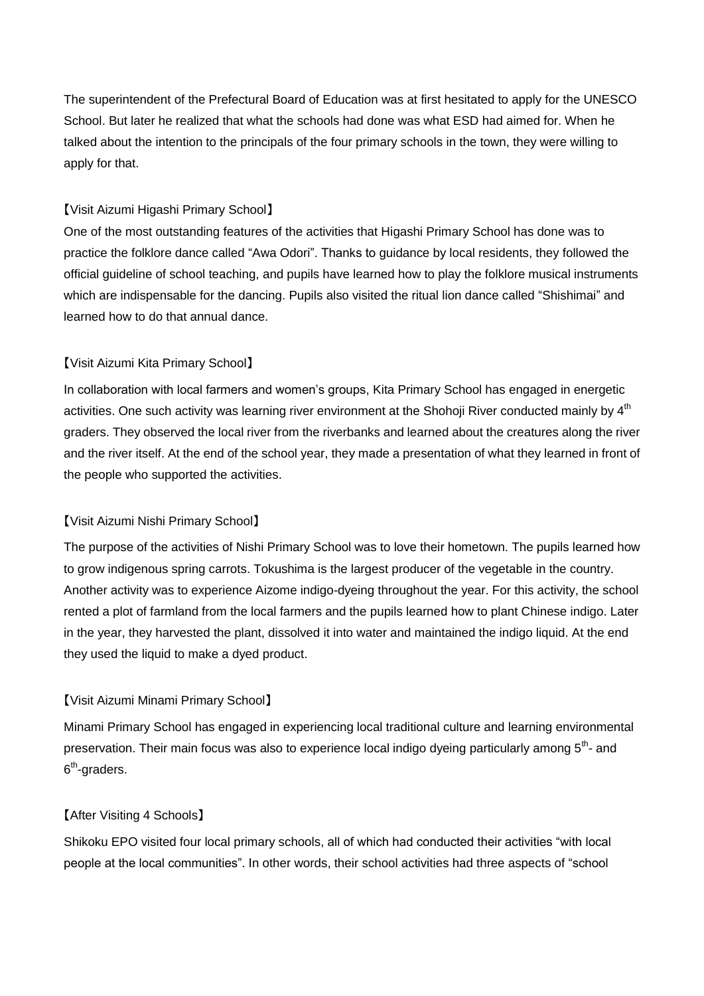The superintendent of the Prefectural Board of Education was at first hesitated to apply for the UNESCO School. But later he realized that what the schools had done was what ESD had aimed for. When he talked about the intention to the principals of the four primary schools in the town, they were willing to apply for that.

## 【Visit Aizumi Higashi Primary School】

One of the most outstanding features of the activities that Higashi Primary School has done was to practice the folklore dance called "Awa Odori". Thanks to guidance by local residents, they followed the official guideline of school teaching, and pupils have learned how to play the folklore musical instruments which are indispensable for the dancing. Pupils also visited the ritual lion dance called "Shishimai" and learned how to do that annual dance.

# 【Visit Aizumi Kita Primary School】

In collaboration with local farmers and women's groups, Kita Primary School has engaged in energetic activities. One such activity was learning river environment at the Shohoji River conducted mainly by 4<sup>th</sup> graders. They observed the local river from the riverbanks and learned about the creatures along the river and the river itself. At the end of the school year, they made a presentation of what they learned in front of the people who supported the activities.

# 【Visit Aizumi Nishi Primary School】

The purpose of the activities of Nishi Primary School was to love their hometown. The pupils learned how to grow indigenous spring carrots. Tokushima is the largest producer of the vegetable in the country. Another activity was to experience Aizome indigo-dyeing throughout the year. For this activity, the school rented a plot of farmland from the local farmers and the pupils learned how to plant Chinese indigo. Later in the year, they harvested the plant, dissolved it into water and maintained the indigo liquid. At the end they used the liquid to make a dyed product.

# 【Visit Aizumi Minami Primary School】

Minami Primary School has engaged in experiencing local traditional culture and learning environmental preservation. Their main focus was also to experience local indigo dyeing particularly among 5<sup>th</sup>- and 6<sup>th</sup>-graders.

## 【After Visiting 4 Schools】

Shikoku EPO visited four local primary schools, all of which had conducted their activities "with local people at the local communities". In other words, their school activities had three aspects of "school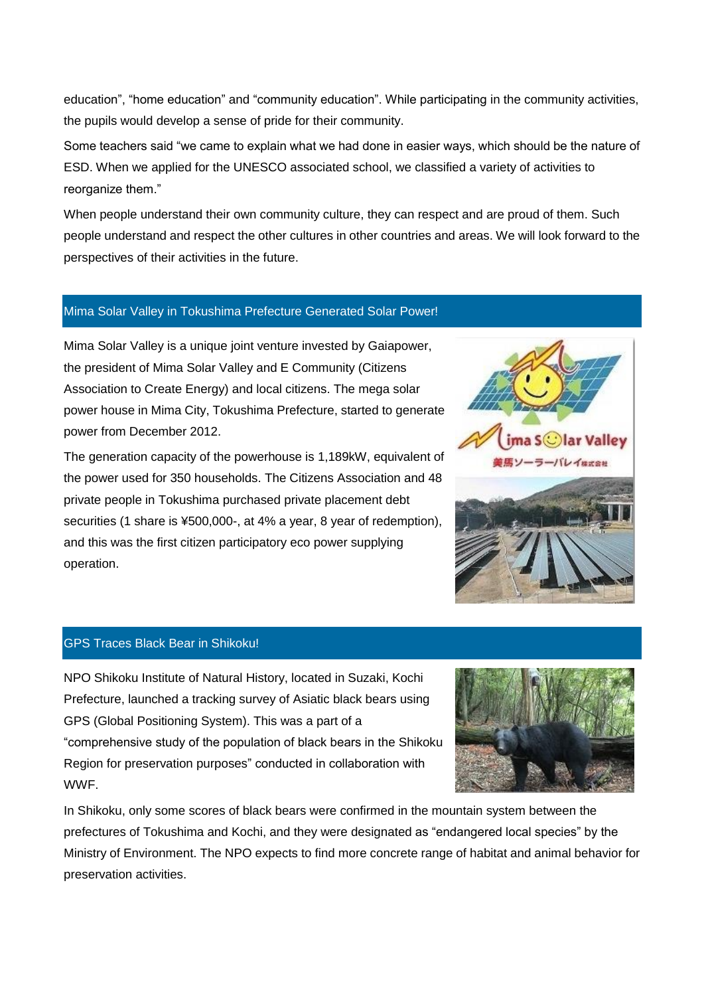education", "home education" and "community education". While participating in the community activities, the pupils would develop a sense of pride for their community.

Some teachers said "we came to explain what we had done in easier ways, which should be the nature of ESD. When we applied for the UNESCO associated school, we classified a variety of activities to reorganize them."

When people understand their own community culture, they can respect and are proud of them. Such people understand and respect the other cultures in other countries and areas. We will look forward to the perspectives of their activities in the future.

#### Mima Solar Valley in Tokushima Prefecture Generated Solar Power!

Mima Solar Valley is a unique joint venture invested by Gaiapower, the president of Mima Solar Valley and E Community (Citizens Association to Create Energy) and local citizens. The mega solar power house in Mima City, Tokushima Prefecture, started to generate power from December 2012.

The generation capacity of the powerhouse is 1,189kW, equivalent of the power used for 350 households. The Citizens Association and 48 private people in Tokushima purchased private placement debt securities (1 share is ¥500,000-, at 4% a year, 8 year of redemption), and this was the first citizen participatory eco power supplying operation.



## GPS Traces Black Bear in Shikoku!

NPO Shikoku Institute of Natural History, located in Suzaki, Kochi Prefecture, launched a tracking survey of Asiatic black bears using GPS (Global Positioning System). This was a part of a "comprehensive study of the population of black bears in the Shikoku Region for preservation purposes" conducted in collaboration with WWF.



In Shikoku, only some scores of black bears were confirmed in the mountain system between the prefectures of Tokushima and Kochi, and they were designated as "endangered local species" by the Ministry of Environment. The NPO expects to find more concrete range of habitat and animal behavior for preservation activities.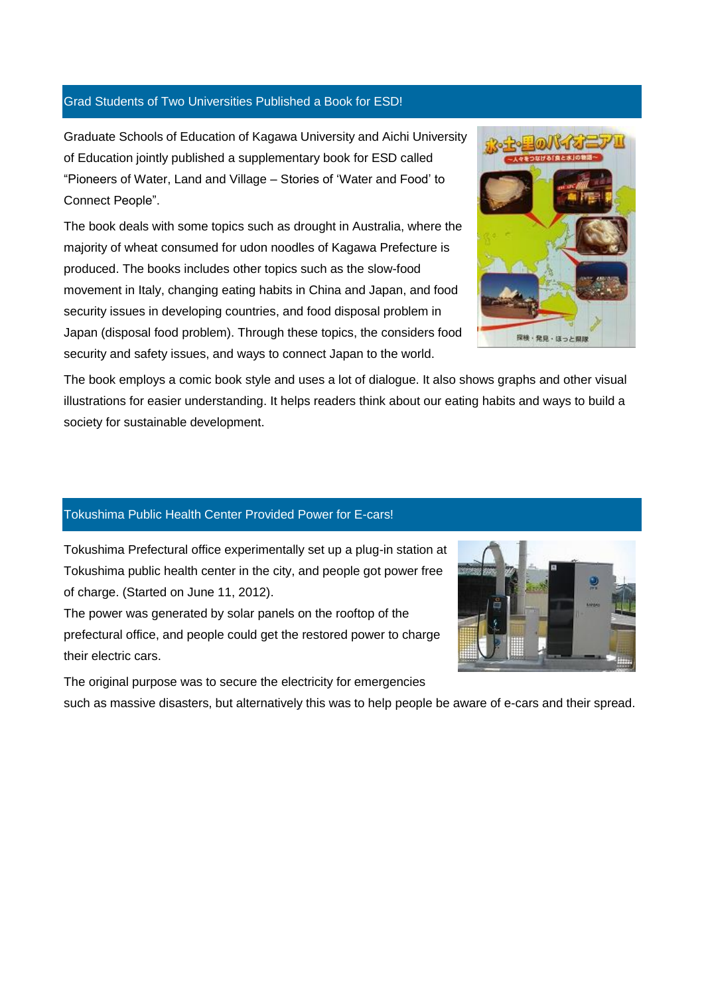#### Grad Students of Two Universities Published a Book for ESD!

Graduate Schools of Education of Kagawa University and Aichi University of Education jointly published a supplementary book for ESD called "Pioneers of Water, Land and Village – Stories of 'Water and Food' to Connect People".

The book deals with some topics such as drought in Australia, where the majority of wheat consumed for udon noodles of Kagawa Prefecture is produced. The books includes other topics such as the slow-food movement in Italy, changing eating habits in China and Japan, and food security issues in developing countries, and food disposal problem in Japan (disposal food problem). Through these topics, the considers food security and safety issues, and ways to connect Japan to the world.



The book employs a comic book style and uses a lot of dialogue. It also shows graphs and other visual illustrations for easier understanding. It helps readers think about our eating habits and ways to build a society for sustainable development.

#### Tokushima Public Health Center Provided Power for E-cars!

Tokushima Prefectural office experimentally set up a plug-in station at Tokushima public health center in the city, and people got power free of charge. (Started on June 11, 2012).

The power was generated by solar panels on the rooftop of the prefectural office, and people could get the restored power to charge their electric cars.

The original purpose was to secure the electricity for emergencies



such as massive disasters, but alternatively this was to help people be aware of e-cars and their spread.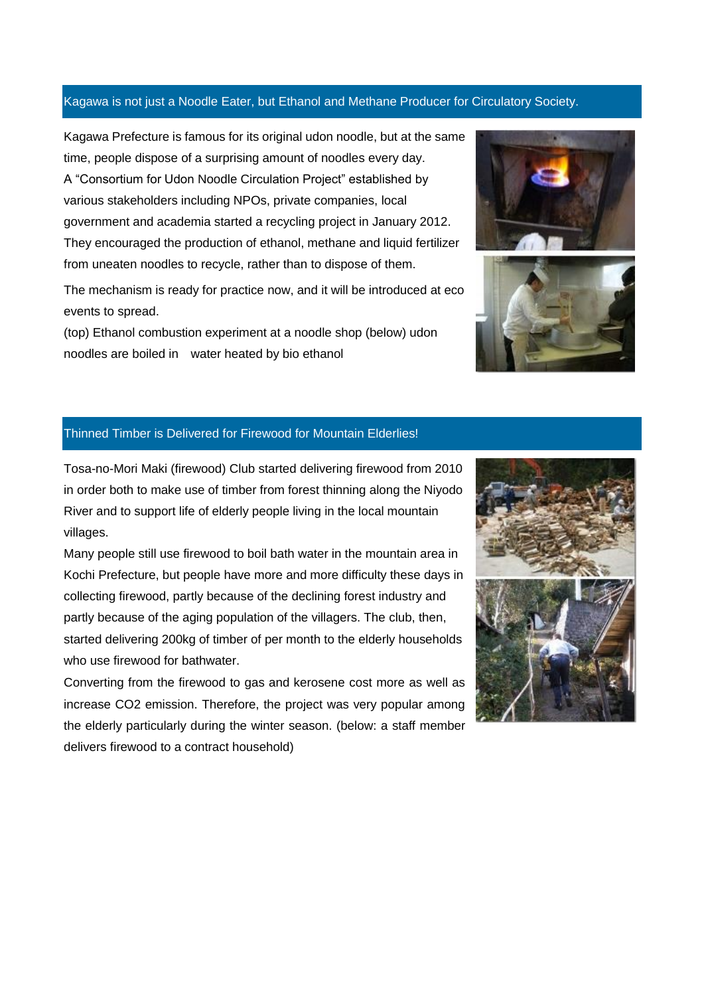#### Kagawa is not just a Noodle Eater, but Ethanol and Methane Producer for Circulatory Society.

Kagawa Prefecture is famous for its original udon noodle, but at the same time, people dispose of a surprising amount of noodles every day. A "Consortium for Udon Noodle Circulation Project" established by various stakeholders including NPOs, private companies, local government and academia started a recycling project in January 2012. They encouraged the production of ethanol, methane and liquid fertilizer from uneaten noodles to recycle, rather than to dispose of them.

The mechanism is ready for practice now, and it will be introduced at eco events to spread.

(top) Ethanol combustion experiment at a noodle shop (below) udon noodles are boiled in water heated by bio ethanol





## Thinned Timber is Delivered for Firewood for Mountain Elderlies!

Tosa-no-Mori Maki (firewood) Club started delivering firewood from 2010 in order both to make use of timber from forest thinning along the Niyodo River and to support life of elderly people living in the local mountain villages.

Many people still use firewood to boil bath water in the mountain area in Kochi Prefecture, but people have more and more difficulty these days in collecting firewood, partly because of the declining forest industry and partly because of the aging population of the villagers. The club, then, started delivering 200kg of timber of per month to the elderly households who use firewood for bathwater.

Converting from the firewood to gas and kerosene cost more as well as increase CO2 emission. Therefore, the project was very popular among the elderly particularly during the winter season. (below: a staff member delivers firewood to a contract household)

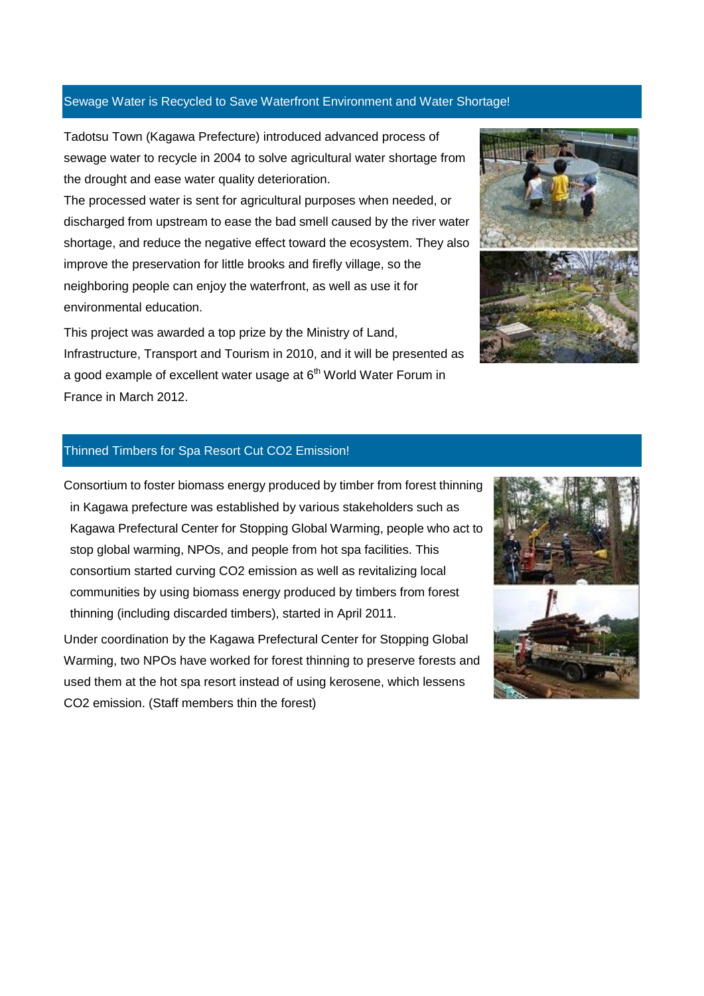#### Sewage Water is Recycled to Save Waterfront Environment and Water Shortage!

Tadotsu Town (Kagawa Prefecture) introduced advanced process of sewage water to recycle in 2004 to solve agricultural water shortage from the drought and ease water quality deterioration.

The processed water is sent for agricultural purposes when needed, or discharged from upstream to ease the bad smell caused by the river water shortage, and reduce the negative effect toward the ecosystem. They also improve the preservation for little brooks and firefly village, so the neighboring people can enjoy the waterfront, as well as use it for environmental education.

This project was awarded a top prize by the Ministry of Land, Infrastructure, Transport and Tourism in 2010, and it will be presented as a good example of excellent water usage at  $6<sup>th</sup>$  World Water Forum in France in March 2012.



#### Thinned Timbers for Spa Resort Cut CO2 Emission!

Consortium to foster biomass energy produced by timber from forest thinning in Kagawa prefecture was established by various stakeholders such as Kagawa Prefectural Center for Stopping Global Warming, people who act to stop global warming, NPOs, and people from hot spa facilities. This consortium started curving CO2 emission as well as revitalizing local communities by using biomass energy produced by timbers from forest thinning (including discarded timbers), started in April 2011.

Under coordination by the Kagawa Prefectural Center for Stopping Global Warming, two NPOs have worked for forest thinning to preserve forests and used them at the hot spa resort instead of using kerosene, which lessens CO2 emission. (Staff members thin the forest)

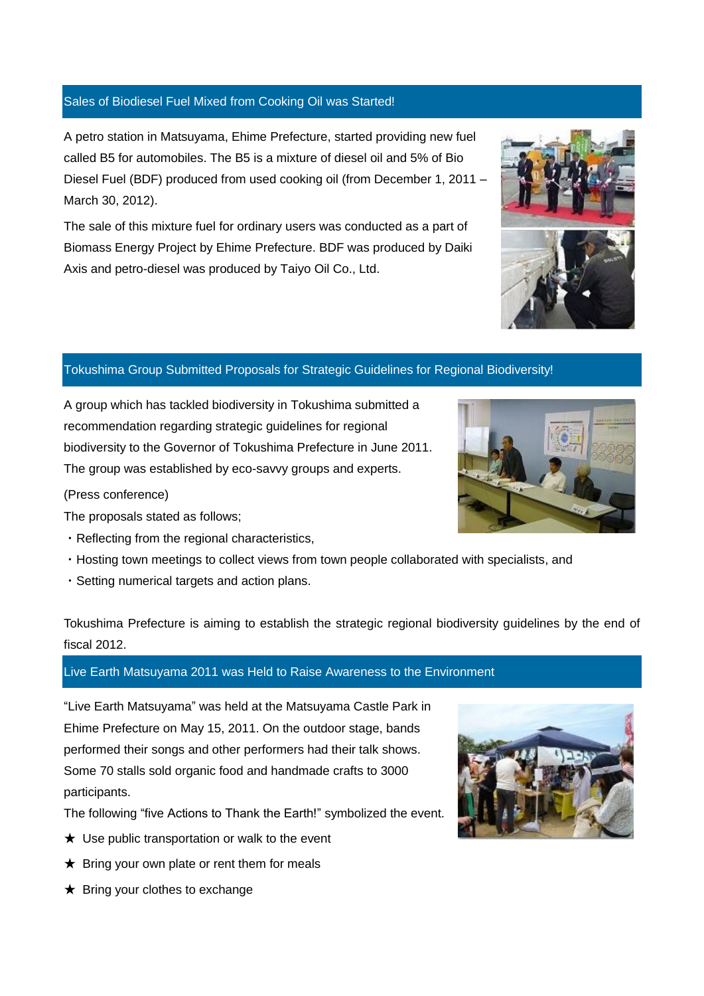#### Sales of Biodiesel Fuel Mixed from Cooking Oil was Started!

A petro station in Matsuyama, Ehime Prefecture, started providing new fuel called B5 for automobiles. The B5 is a mixture of diesel oil and 5% of Bio Diesel Fuel (BDF) produced from used cooking oil (from December 1, 2011 – March 30, 2012).

The sale of this mixture fuel for ordinary users was conducted as a part of Biomass Energy Project by Ehime Prefecture. BDF was produced by Daiki Axis and petro-diesel was produced by Taiyo Oil Co., Ltd.

## Tokushima Group Submitted Proposals for Strategic Guidelines for Regional Biodiversity!

A group which has tackled biodiversity in Tokushima submitted a recommendation regarding strategic guidelines for regional biodiversity to the Governor of Tokushima Prefecture in June 2011. The group was established by eco-savvy groups and experts.

(Press conference)

The proposals stated as follows;

- ・Reflecting from the regional characteristics,
- ・Hosting town meetings to collect views from town people collaborated with specialists, and
- ・Setting numerical targets and action plans.

Tokushima Prefecture is aiming to establish the strategic regional biodiversity guidelines by the end of fiscal 2012.

#### Live Earth Matsuyama 2011 was Held to Raise Awareness to the Environment

"Live Earth Matsuyama" was held at the Matsuyama Castle Park in Ehime Prefecture on May 15, 2011. On the outdoor stage, bands performed their songs and other performers had their talk shows. Some 70 stalls sold organic food and handmade crafts to 3000 participants.

The following "five Actions to Thank the Earth!" symbolized the event.

- $\star$  Use public transportation or walk to the event
- $\star$  Bring your own plate or rent them for meals
- $\bigstar$  Bring your clothes to exchange



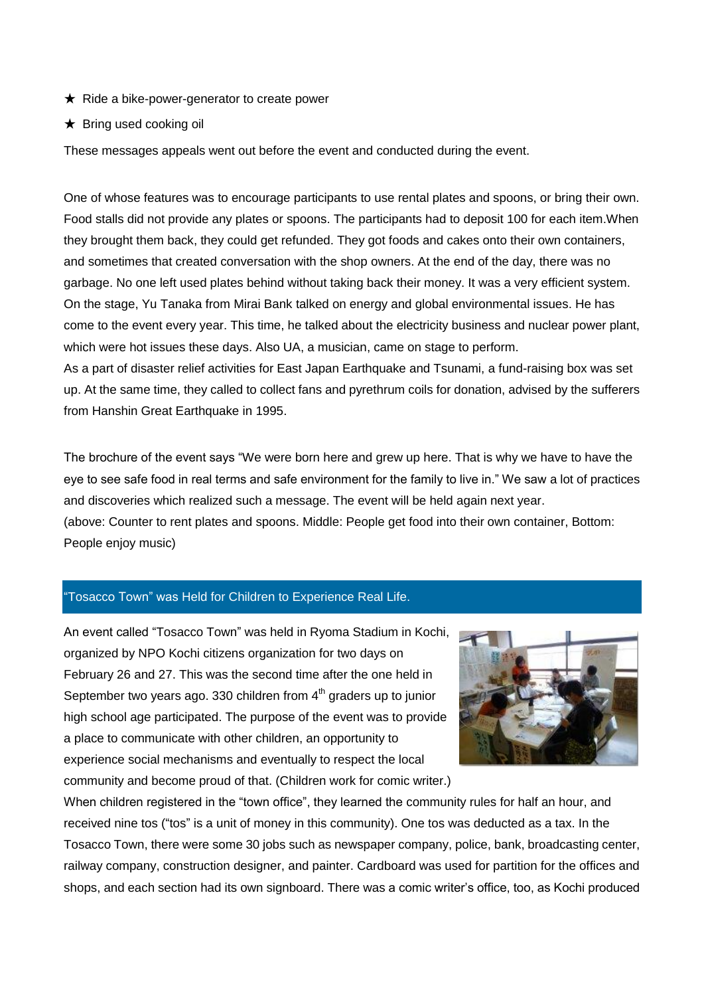- $\star$  Ride a bike-power-generator to create power
- $\star$  Bring used cooking oil

These messages appeals went out before the event and conducted during the event.

One of whose features was to encourage participants to use rental plates and spoons, or bring their own. Food stalls did not provide any plates or spoons. The participants had to deposit 100 for each item.When they brought them back, they could get refunded. They got foods and cakes onto their own containers, and sometimes that created conversation with the shop owners. At the end of the day, there was no garbage. No one left used plates behind without taking back their money. It was a very efficient system. On the stage, Yu Tanaka from Mirai Bank talked on energy and global environmental issues. He has come to the event every year. This time, he talked about the electricity business and nuclear power plant, which were hot issues these days. Also UA, a musician, came on stage to perform. As a part of disaster relief activities for East Japan Earthquake and Tsunami, a fund-raising box was set up. At the same time, they called to collect fans and pyrethrum coils for donation, advised by the sufferers from Hanshin Great Earthquake in 1995.

The brochure of the event says "We were born here and grew up here. That is why we have to have the eye to see safe food in real terms and safe environment for the family to live in." We saw a lot of practices and discoveries which realized such a message. The event will be held again next year. (above: Counter to rent plates and spoons. Middle: People get food into their own container, Bottom: People enjoy music)

## "Tosacco Town" was Held for Children to Experience Real Life.

An event called "Tosacco Town" was held in Ryoma Stadium in Kochi, organized by NPO Kochi citizens organization for two days on February 26 and 27. This was the second time after the one held in September two years ago. 330 children from  $4<sup>th</sup>$  graders up to junior high school age participated. The purpose of the event was to provide a place to communicate with other children, an opportunity to experience social mechanisms and eventually to respect the local community and become proud of that. (Children work for comic writer.)



When children registered in the "town office", they learned the community rules for half an hour, and received nine tos ("tos" is a unit of money in this community). One tos was deducted as a tax. In the Tosacco Town, there were some 30 jobs such as newspaper company, police, bank, broadcasting center, railway company, construction designer, and painter. Cardboard was used for partition for the offices and shops, and each section had its own signboard. There was a comic writer's office, too, as Kochi produced